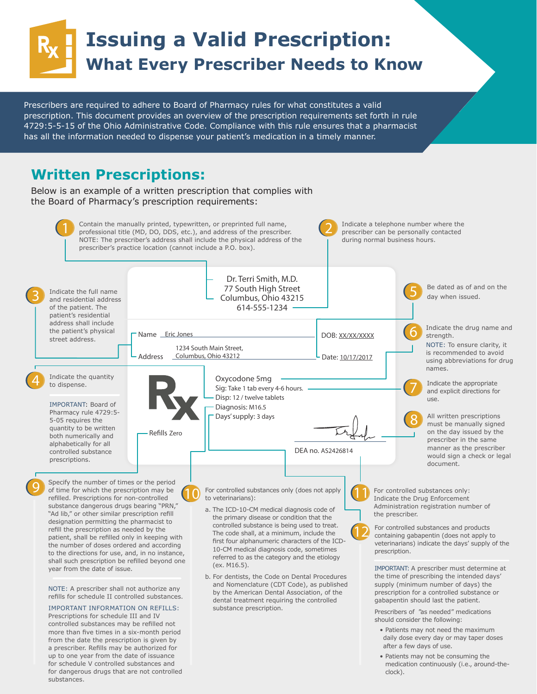# **Issuing a Valid Prescription: What Every Prescriber Needs to Know**

Prescribers are required to adhere to Board of Pharmacy rules for what constitutes a valid prescription. This document provides an overview of the prescription requirements set forth in rule 4729:5-5-15 of the Ohio Administrative Code. Compliance with this rule ensures that a pharmacist has all the information needed to dispense your patient's medication in a timely manner.

## **Written Prescriptions:**

Below is an example of a written prescription that complies with the Board of Pharmacy's prescription requirements:



a prescriber. Refills may be authorized for up to one year from the date of issuance for schedule V controlled substances and for dangerous drugs that are not controlled substances.

 • Patients may not be consuming the medication continuously (i.e., around-theclock).

after a few days of use.